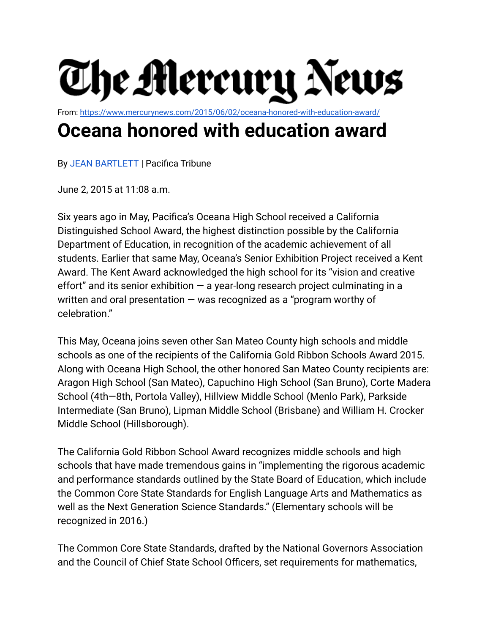

From: <https://www.mercurynews.com/2015/06/02/oceana-honored-with-education-award/>

## **Oceana honored with education award**

By JEAN [BARTLETT](https://www.mercurynews.com/author/jean-bartlett/) | Pacifica Tribune

June 2, 2015 at 11:08 a.m.

Six years ago in May, Pacifica's Oceana High School received a California Distinguished School Award, the highest distinction possible by the California Department of Education, in recognition of the academic achievement of all students. Earlier that same May, Oceana's Senior Exhibition Project received a Kent Award. The Kent Award acknowledged the high school for its "vision and creative effort" and its senior exhibition  $-$  a year-long research project culminating in a written and oral presentation — was recognized as a "program worthy of celebration."

This May, Oceana joins seven other San Mateo County high schools and middle schools as one of the recipients of the California Gold Ribbon Schools Award 2015. Along with Oceana High School, the other honored San Mateo County recipients are: Aragon High School (San Mateo), Capuchino High School (San Bruno), Corte Madera School (4th—8th, Portola Valley), Hillview Middle School (Menlo Park), Parkside Intermediate (San Bruno), Lipman Middle School (Brisbane) and William H. Crocker Middle School (Hillsborough).

The California Gold Ribbon School Award recognizes middle schools and high schools that have made tremendous gains in "implementing the rigorous academic and performance standards outlined by the State Board of Education, which include the Common Core State Standards for English Language Arts and Mathematics as well as the Next Generation Science Standards." (Elementary schools will be recognized in 2016.)

The Common Core State Standards, drafted by the National Governors Association and the Council of Chief State School Officers, set requirements for mathematics,